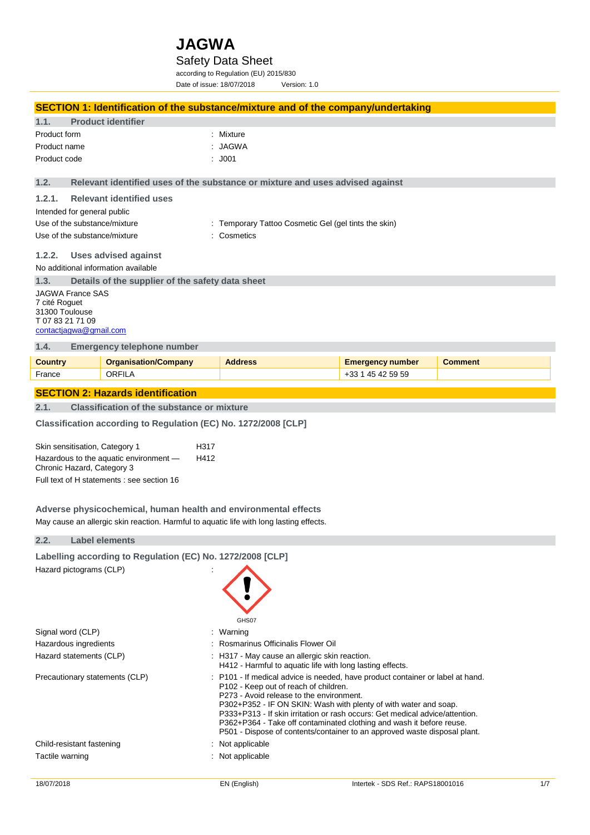#### Safety Data Sheet

according to Regulation (EU) 2015/830 Date of issue: 18/07/2018 Version: 1.0

**SECTION 1: Identification of the substance/mixture and of the company/undertaking 1.1. Product identifier** Product form **: Mixture** Product name : JAGWA Product code : J001 **1.2. Relevant identified uses of the substance or mixture and uses advised against 1.2.1. Relevant identified uses** Intended for general public Use of the substance/mixture : Temporary Tattoo Cosmetic Gel (gel tints the skin) Use of the substance/mixture : Cosmetics **1.2.2. Uses advised against** No additional information available **1.3. Details of the supplier of the safety data sheet** JAGWA France SAS 7 cité Roguet 31300 Toulouse T 07 83 21 71 09 [contactjagwa@gmail.com](mailto:contactjagwa@gmail.com) **1.4. Emergency telephone number Country Content Company Address Country Comment Comment** France **ORFILA CORFILA CONFILA CONFILA CONFILA CONFILA CONFILA CONFILA CONFILA CONFILA CONFILA CONFILA CONFILA CONFILA CONFILA CONFILA CONFILA CONFILA CONFILA CONFILA CONFILA CONFI SECTION 2: Hazards identification 2.1. Classification of the substance or mixture Classification according to Regulation (EC) No. 1272/2008 [CLP]** Skin sensitisation, Category 1 H317 Hazardous to the aquatic environment — Chronic Hazard, Category 3 H412 Full text of H statements : see section 16 **Adverse physicochemical, human health and environmental effects** May cause an allergic skin reaction. Harmful to aquatic life with long lasting effects. **2.2. Label elements Labelling according to Regulation (EC) No. 1272/2008 [CLP]** Hazard pictograms (CLP) : GHS07 Signal word (CLP) : Warning Hazardous ingredients **intervalled**: Rosmarinus Officinalis Flower Oil Hazard statements (CLP)  $\qquad \qquad$ : H317 - May cause an allergic skin reaction.

H412 - Harmful to aquatic life with long lasting effects.

P302+P352 - IF ON SKIN: Wash with plenty of with water and soap. P333+P313 - If skin irritation or rash occurs: Get medical advice/attention. P362+P364 - Take off contaminated clothing and wash it before reuse. P501 - Dispose of contents/container to an approved waste disposal plant.

P102 - Keep out of reach of children. P273 - Avoid release to the environment.

Precautionary statements (CLP) : P101 - If medical advice is needed, have product container or label at hand.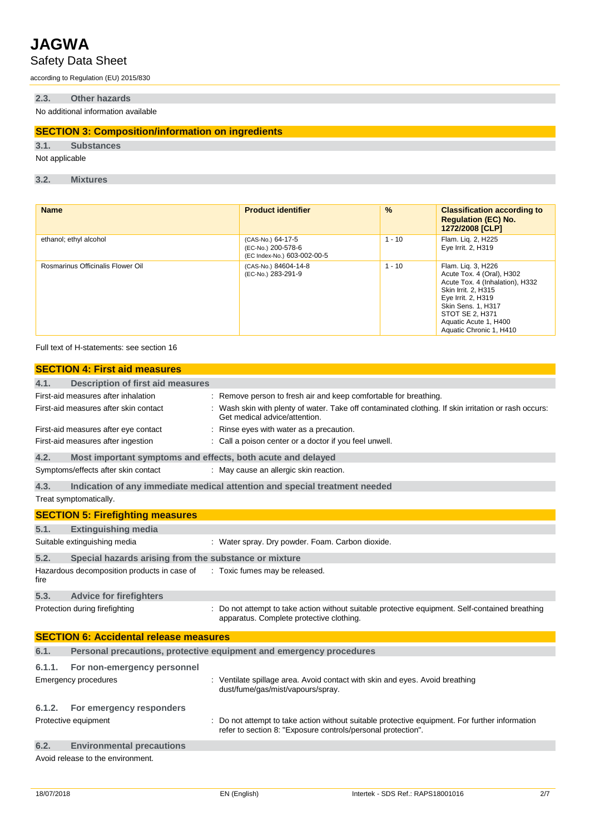## Safety Data Sheet

according to Regulation (EU) 2015/830

#### **2.3. Other hazards**

No additional information available

#### **SECTION 3: Composition/information on ingredients**

**3.1. Substances**

Not applicable

**3.2. Mixtures**

| <b>Name</b>                       | <b>Product identifier</b>                                              | %        | <b>Classification according to</b><br><b>Regulation (EC) No.</b><br>1272/2008 [CLP]                                                                                                                                          |
|-----------------------------------|------------------------------------------------------------------------|----------|------------------------------------------------------------------------------------------------------------------------------------------------------------------------------------------------------------------------------|
| ethanol; ethyl alcohol            | (CAS-No.) 64-17-5<br>(EC-No.) 200-578-6<br>(EC Index-No.) 603-002-00-5 | $1 - 10$ | Flam. Lig. 2, H225<br>Eye Irrit. 2, H319                                                                                                                                                                                     |
| Rosmarinus Officinalis Flower Oil | (CAS-No.) 84604-14-8<br>(EC-No.) 283-291-9                             | $1 - 10$ | Flam. Lig. 3, H226<br>Acute Tox. 4 (Oral), H302<br>Acute Tox. 4 (Inhalation), H332<br>Skin Irrit. 2, H315<br>Eye Irrit. 2, H319<br>Skin Sens. 1, H317<br>STOT SE 2, H371<br>Aquatic Acute 1, H400<br>Aquatic Chronic 1, H410 |

Full text of H-statements: see section 16

|        | <b>SECTION 4: First aid measures</b>                        |                                                                                                                                                              |
|--------|-------------------------------------------------------------|--------------------------------------------------------------------------------------------------------------------------------------------------------------|
| 4.1.   | <b>Description of first aid measures</b>                    |                                                                                                                                                              |
|        | First-aid measures after inhalation                         | : Remove person to fresh air and keep comfortable for breathing.                                                                                             |
|        | First-aid measures after skin contact                       | : Wash skin with plenty of water. Take off contaminated clothing. If skin irritation or rash occurs:<br>Get medical advice/attention.                        |
|        | First-aid measures after eye contact                        | Rinse eyes with water as a precaution.                                                                                                                       |
|        | First-aid measures after ingestion                          | : Call a poison center or a doctor if you feel unwell.                                                                                                       |
| 4.2.   | Most important symptoms and effects, both acute and delayed |                                                                                                                                                              |
|        | Symptoms/effects after skin contact                         | : May cause an allergic skin reaction.                                                                                                                       |
| 4.3.   |                                                             | Indication of any immediate medical attention and special treatment needed                                                                                   |
|        | Treat symptomatically.                                      |                                                                                                                                                              |
|        | <b>SECTION 5: Firefighting measures</b>                     |                                                                                                                                                              |
| 5.1.   | <b>Extinguishing media</b>                                  |                                                                                                                                                              |
|        | Suitable extinguishing media                                | : Water spray. Dry powder. Foam. Carbon dioxide.                                                                                                             |
| 5.2.   | Special hazards arising from the substance or mixture       |                                                                                                                                                              |
| fire   | Hazardous decomposition products in case of                 | : Toxic fumes may be released.                                                                                                                               |
| 5.3.   | <b>Advice for firefighters</b>                              |                                                                                                                                                              |
|        | Protection during firefighting                              | Do not attempt to take action without suitable protective equipment. Self-contained breathing<br>apparatus. Complete protective clothing.                    |
|        | <b>SECTION 6: Accidental release measures</b>               |                                                                                                                                                              |
| 6.1.   |                                                             | Personal precautions, protective equipment and emergency procedures                                                                                          |
| 6.1.1. | For non-emergency personnel                                 |                                                                                                                                                              |
|        | Emergency procedures                                        | : Ventilate spillage area. Avoid contact with skin and eyes. Avoid breathing<br>dust/fume/gas/mist/vapours/spray.                                            |
| 6.1.2. | For emergency responders                                    |                                                                                                                                                              |
|        | Protective equipment                                        | Do not attempt to take action without suitable protective equipment. For further information<br>refer to section 8: "Exposure controls/personal protection". |
| 6.2.   | <b>Environmental precautions</b>                            |                                                                                                                                                              |
|        | Avoid release to the environment.                           |                                                                                                                                                              |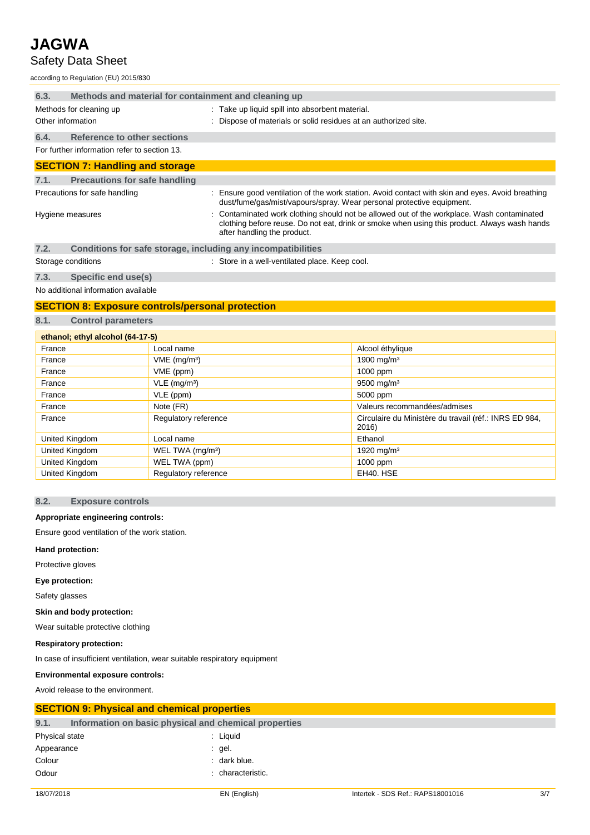## Safety Data Sheet

according to Regulation (EU) 2015/830

| 6.3. | Methods and material for containment and cleaning up |  |                                                                                                                                                                                            |
|------|------------------------------------------------------|--|--------------------------------------------------------------------------------------------------------------------------------------------------------------------------------------------|
|      | Methods for cleaning up                              |  | : Take up liquid spill into absorbent material.                                                                                                                                            |
|      | Other information                                    |  | : Dispose of materials or solid residues at an authorized site.                                                                                                                            |
| 6.4. | <b>Reference to other sections</b>                   |  |                                                                                                                                                                                            |
|      | For further information refer to section 13.         |  |                                                                                                                                                                                            |
|      | <b>SECTION 7: Handling and storage</b>               |  |                                                                                                                                                                                            |
| 7.1. | <b>Precautions for safe handling</b>                 |  |                                                                                                                                                                                            |
|      | Precautions for safe handling                        |  | : Ensure good ventilation of the work station. Avoid contact with skin and eyes. Avoid breathing<br>dust/fume/gas/mist/vapours/spray. Wear personal protective equipment.                  |
|      | Hygiene measures                                     |  | : Contaminated work clothing should not be allowed out of the workplace. Wash contaminated<br>clothing before reuse. Do not eat, drink or smoke when using this product. Always wash hands |

| 7.2. |  | Conditions for safe storage, including any incompatibilities |  |
|------|--|--------------------------------------------------------------|--|

Storage conditions **Storage conditions** : Store in a well-ventilated place. Keep cool.

after handling the product.

**7.3. Specific end use(s)**

No additional information available

#### **SECTION 8: Exposure controls/personal protection**

**8.1. Control parameters**

| ethanol; ethyl alcohol (64-17-5) |                              |                                                                 |  |  |
|----------------------------------|------------------------------|-----------------------------------------------------------------|--|--|
| France                           | Local name                   | Alcool éthylique                                                |  |  |
| France                           | $VME$ (mg/m <sup>3</sup> )   | 1900 mg/m <sup>3</sup>                                          |  |  |
| France                           | VME (ppm)                    | 1000 ppm                                                        |  |  |
| France                           | $VLE$ (mg/m <sup>3</sup> )   | 9500 mg/m <sup>3</sup>                                          |  |  |
| France                           | VLE (ppm)                    | 5000 ppm                                                        |  |  |
| France                           | Note (FR)                    | Valeurs recommandées/admises                                    |  |  |
| France                           | Regulatory reference         | Circulaire du Ministère du travail (réf.: INRS ED 984,<br>2016) |  |  |
| United Kingdom                   | Local name                   | Ethanol                                                         |  |  |
| United Kingdom                   | WEL TWA (mg/m <sup>3</sup> ) | 1920 mg/m <sup>3</sup>                                          |  |  |
| United Kingdom                   | WEL TWA (ppm)                | 1000 ppm                                                        |  |  |
| United Kingdom                   | Regulatory reference         | EH40. HSE                                                       |  |  |

#### **8.2. Exposure controls**

#### **Appropriate engineering controls:**

Ensure good ventilation of the work station.

#### **Hand protection:**

Protective gloves

#### **Eye protection:**

Safety glasses

#### **Skin and body protection:**

Wear suitable protective clothing

#### **Respiratory protection:**

In case of insufficient ventilation, wear suitable respiratory equipment

#### **Environmental exposure controls:**

Avoid release to the environment.

#### **SECTION 9: Physical and chemical properties**

| 9.1.           | Information on basic physical and chemical properties |                 |
|----------------|-------------------------------------------------------|-----------------|
| Physical state |                                                       | : Liquid        |
| Appearance     |                                                       | gel.            |
| Colour         |                                                       | dark blue.      |
| Odour          |                                                       | characteristic. |
|                |                                                       |                 |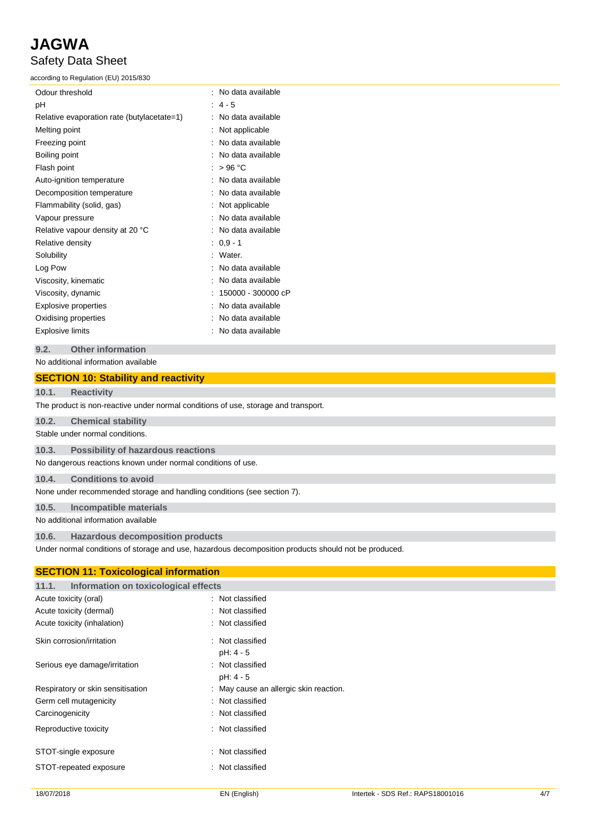Safety Data Sheet

according to Regulation (EU) 2015/830

| Odour threshold                            | No data available  |
|--------------------------------------------|--------------------|
| рH                                         | $4 - 5$            |
| Relative evaporation rate (butylacetate=1) | No data available  |
| Melting point                              | Not applicable     |
| Freezing point                             | No data available  |
| Boiling point                              | No data available  |
| Flash point                                | >96 °C             |
| Auto-ignition temperature                  | No data available  |
| Decomposition temperature                  | No data available  |
| Flammability (solid, gas)                  | Not applicable     |
| Vapour pressure                            | No data available  |
| Relative vapour density at 20 °C           | No data available  |
| Relative density                           | $: 0.9 - 1$        |
| Solubility                                 | Water.             |
| Log Pow                                    | No data available  |
| Viscosity, kinematic                       | No data available  |
| Viscosity, dynamic                         | 150000 - 300000 cP |
| Explosive properties                       | No data available  |
| Oxidising properties                       | No data available  |
| <b>Explosive limits</b>                    | No data available  |

#### **9.2. Other information**

#### No additional information available

#### **SECTION 10: Stability and reactivity**

#### **10.1. Reactivity**

The product is non-reactive under normal conditions of use, storage and transport.

**10.2. Chemical stability**

Stable under normal conditions.

**10.3. Possibility of hazardous reactions**

No dangerous reactions known under normal conditions of use.

#### **10.4. Conditions to avoid**

None under recommended storage and handling conditions (see section 7).

#### **10.5. Incompatible materials**

No additional information available

#### **10.6. Hazardous decomposition products**

Under normal conditions of storage and use, hazardous decomposition products should not be produced.

| <b>SECTION 11: Toxicological information</b> |  |  |  |
|----------------------------------------------|--|--|--|
| Information on toxicological effects         |  |  |  |
| : Not classified                             |  |  |  |
| : Not classified                             |  |  |  |
| : Not classified                             |  |  |  |
| : Not classified<br>pH: 4 - 5                |  |  |  |
| : Not classified<br>pH: 4 - 5                |  |  |  |
| : May cause an allergic skin reaction.       |  |  |  |
| : Not classified                             |  |  |  |
| : Not classified                             |  |  |  |
| : Not classified                             |  |  |  |
| : Not classified                             |  |  |  |
| : Not classified                             |  |  |  |
|                                              |  |  |  |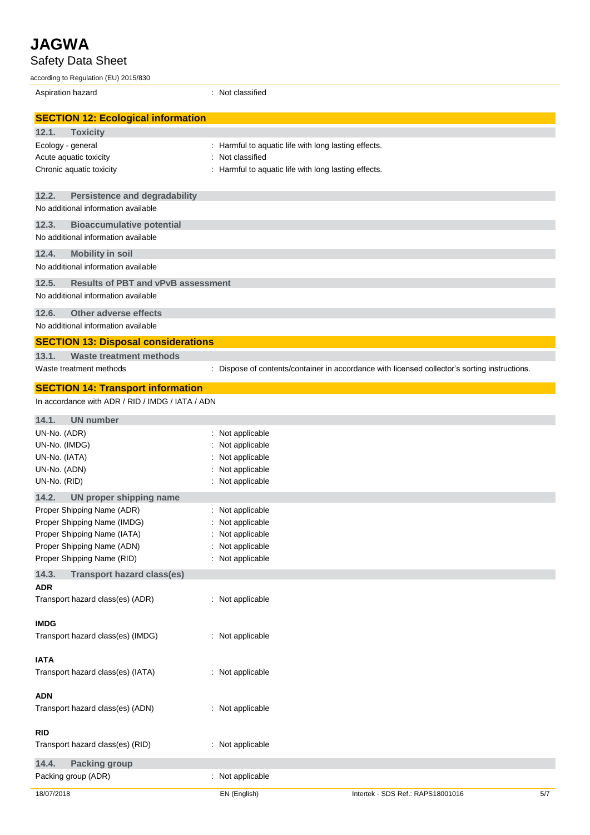**JAGWA** Safety Data Sheet according to Regulation (EU) 2015/830 Aspiration hazard **in the set of the set of the set of the set of the set of the set of the set of the set of the set of the set of the set of the set of the set of the set of the set of the set of the set of the set of th SECTION 12: Ecological information 12.1. Toxicity** Ecology - general interest in the secology - general interests. Harmful to aquatic life with long lasting effects. Acute aquatic toxicity **interest and the COV** and Acute aquatic toxicity Chronic aquatic toxicity : Harmful to aquatic life with long lasting effects. **12.2. Persistence and degradability** No additional information available **12.3. Bioaccumulative potential** No additional information available **12.4. Mobility in soil** No additional information available **12.5. Results of PBT and vPvB assessment** No additional information available **12.6. Other adverse effects** No additional information available **SECTION 13: Disposal considerations 13.1. Waste treatment methods** Waste treatment methods : Dispose of contents/container in accordance with licensed collector's sorting instructions. **SECTION 14: Transport information** In accordance with ADR / RID / IMDG / IATA / ADN **14.1. UN number** UN-No. (ADR) : Not applicable UN-No. (IMDG) : Not applicable UN-No. (IATA) : Not applicable UN-No. (ADN) : Not applicable UN-No. (RID) : Not applicable **14.2. UN proper shipping name** Proper Shipping Name (ADR) : Not applicable Proper Shipping Name (IMDG) : Not applicable Proper Shipping Name (IATA) : Not applicable Proper Shipping Name (ADN) : Not applicable Proper Shipping Name (RID) : Not applicable **14.3. Transport hazard class(es) ADR** Transport hazard class(es) (ADR) : Not applicable

**IMDG**

**IATA**

Transport hazard class(es) (IMDG) : Not applicable

Transport hazard class(es) (IATA) : Not applicable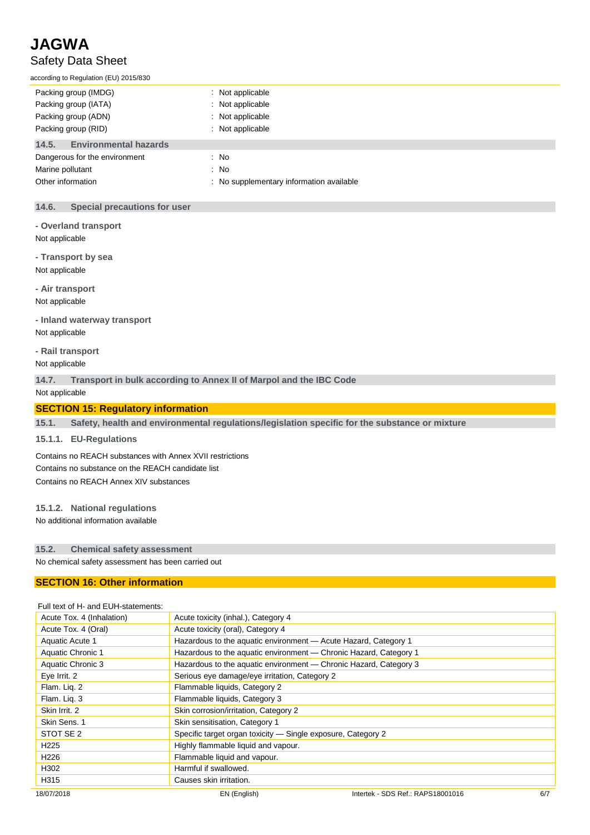## **JAGWA** Safety Data Sheet

according to Regulation (EU) 2015/830

| Packing group (IMDG)                  | Not applicable                         |
|---------------------------------------|----------------------------------------|
| Packing group (IATA)                  | Not applicable                         |
| Packing group (ADN)                   | Not applicable                         |
| Packing group (RID)                   | Not applicable                         |
| <b>Environmental hazards</b><br>14.5. |                                        |
| Dangerous for the environment         | : No                                   |
| Marine pollutant                      | $\therefore$ No                        |
| Other information                     | No supplementary information available |

#### **14.6. Special precautions for user**

- **- Overland transport**
- Not applicable
- **- Transport by sea**
- Not applicable
- **- Air transport**

Not applicable

- **- Inland waterway transport** Not applicable
- **- Rail transport**
- Not applicable

**14.7. Transport in bulk according to Annex II of Marpol and the IBC Code**

Not applicable

#### **SECTION 15: Regulatory information**

**15.1. Safety, health and environmental regulations/legislation specific for the substance or mixture**

#### **15.1.1. EU-Regulations**

Contains no REACH substances with Annex XVII restrictions Contains no substance on the REACH candidate list Contains no REACH Annex XIV substances

#### **15.1.2. National regulations**

No additional information available

#### **15.2. Chemical safety assessment**

No chemical safety assessment has been carried out

#### **SECTION 16: Other information**

#### 18/07/2018 EN (English) Intertek - SDS Ref.: RAPS18001016 6/7 Full text of H- and EUH-statements: Acute Tox. 4 (Inhalation) Acute toxicity (inhal.), Category 4 Acute Tox. 4 (Oral) Acute toxicity (oral), Category 4 Aquatic Acute 1 **Hazardous to the aquatic environment — Acute Hazard, Category 1** Aquatic Chronic 1 **Hazardous to the aquatic environment — Chronic Hazard, Category 1** Aquatic Chronic 3 Hazardous to the aquatic environment — Chronic Hazard, Category 3 Eye Irrit. 2 Serious eye damage/eye irritation, Category 2 Flam. Liq. 2 Flammable liquids, Category 2 Flam. Liq. 3 Flammable liquids, Category 3 Skin Irrit. 2 Skin corrosion/irritation, Category 2 Skin Sens. 1 Skin sensitisation, Category 1 STOT SE 2 Specific target organ toxicity — Single exposure, Category 2 H<sub>225</sub> Highly flammable liquid and vapour. H226 Flammable liquid and vapour. H302 Harmful if swallowed. H315 Causes skin irritation.